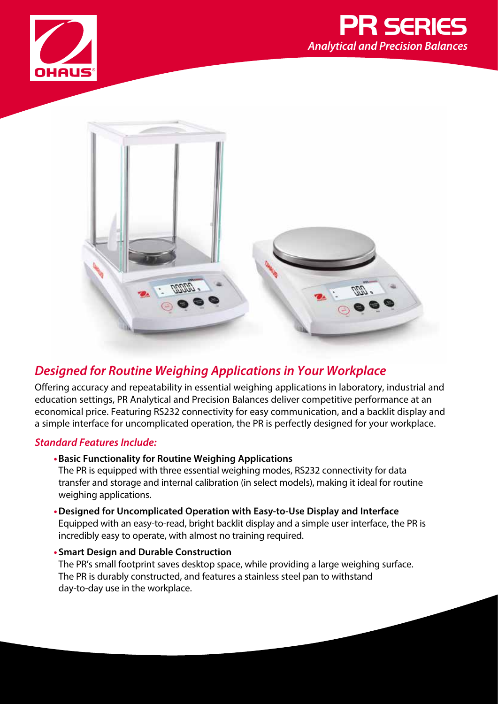





## *Designed for Routine Weighing Applications in Your Workplace*

Offering accuracy and repeatability in essential weighing applications in laboratory, industrial and education settings, PR Analytical and Precision Balances deliver competitive performance at an economical price. Featuring RS232 connectivity for easy communication, and a backlit display and a simple interface for uncomplicated operation, the PR is perfectly designed for your workplace.

### *Standard Features Include:*

**•Basic Functionality for Routine Weighing Applications**

The PR is equipped with three essential weighing modes, RS232 connectivity for data transfer and storage and internal calibration (in select models), making it ideal for routine weighing applications.

- **•Designed for Uncomplicated Operation with Easy-to-Use Display and Interface** Equipped with an easy-to-read, bright backlit display and a simple user interface, the PR is incredibly easy to operate, with almost no training required.
- **• Smart Design and Durable Construction**  The PR's small footprint saves desktop space, while providing a large weighing surface. The PR is durably constructed, and features a stainless steel pan to withstand day-to-day use in the workplace.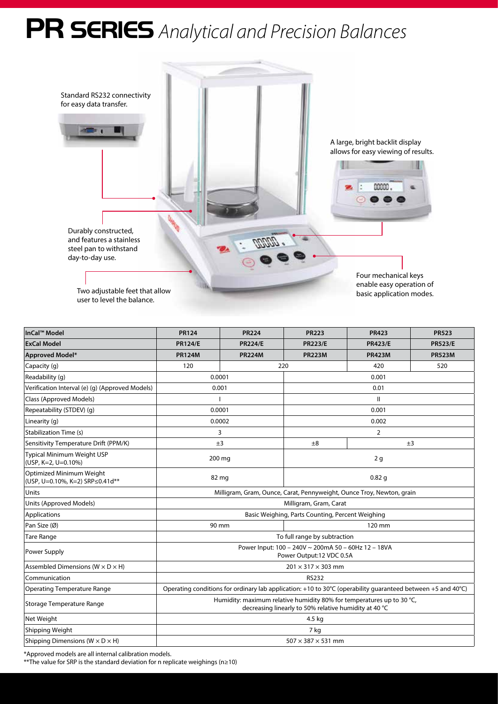# PR SERIES *Analytical and Precision Balances*



| InCal™ Model                                                | <b>PR124</b>                                                                                                                   | <b>PR224</b>   | <b>PR223</b>   | <b>PR423</b>   | <b>PR523</b>   |  |  |
|-------------------------------------------------------------|--------------------------------------------------------------------------------------------------------------------------------|----------------|----------------|----------------|----------------|--|--|
| <b>ExCal Model</b>                                          | <b>PR124/E</b>                                                                                                                 | <b>PR224/E</b> | <b>PR223/E</b> | <b>PR423/E</b> | <b>PR523/E</b> |  |  |
| <b>Approved Model*</b>                                      | <b>PR124M</b>                                                                                                                  | <b>PR224M</b>  | <b>PR223M</b>  | <b>PR423M</b>  | <b>PR523M</b>  |  |  |
| Capacity (q)                                                | 120                                                                                                                            |                | 220            | 420            | 520            |  |  |
| Readability (q)                                             |                                                                                                                                | 0.0001         |                | 0.001          |                |  |  |
| Verification Interval (e) (g) (Approved Models)             | 0.001                                                                                                                          |                | 0.01           |                |                |  |  |
| Class (Approved Models)                                     |                                                                                                                                |                | $\mathbf{H}$   |                |                |  |  |
| Repeatability (STDEV) (q)                                   | 0.0001                                                                                                                         |                | 0.001          |                |                |  |  |
| Linearity (g)                                               | 0.0002                                                                                                                         |                | 0.002          |                |                |  |  |
| <b>Stabilization Time (s)</b>                               | 3                                                                                                                              |                | $\overline{2}$ |                |                |  |  |
| Sensitivity Temperature Drift (PPM/K)                       | ±3                                                                                                                             |                | ±8             |                | ±3             |  |  |
| Typical Minimum Weight USP<br>(USP, K=2, U=0.10%)           | 200 mg                                                                                                                         |                | 2g             |                |                |  |  |
| Optimized Minimum Weight<br>(USP, U=0.10%, K=2) SRP≤0.41d** | 82 mg                                                                                                                          |                | 0.82q          |                |                |  |  |
| Units                                                       | Milligram, Gram, Ounce, Carat, Pennyweight, Ounce Troy, Newton, grain                                                          |                |                |                |                |  |  |
| Units (Approved Models)                                     | Milligram, Gram, Carat                                                                                                         |                |                |                |                |  |  |
| Applications                                                | Basic Weighing, Parts Counting, Percent Weighing                                                                               |                |                |                |                |  |  |
| Pan Size (Ø)                                                | 90 mm<br>120 mm                                                                                                                |                |                |                |                |  |  |
| <b>Tare Range</b>                                           | To full range by subtraction                                                                                                   |                |                |                |                |  |  |
| Power Supply                                                | Power Input: 100 - 240V ~ 200mA 50 - 60Hz 12 - 18VA<br>Power Output:12 VDC 0.5A                                                |                |                |                |                |  |  |
| Assembled Dimensions ( $W \times D \times H$ )              | $201 \times 317 \times 303$ mm                                                                                                 |                |                |                |                |  |  |
| Communication                                               | <b>RS232</b>                                                                                                                   |                |                |                |                |  |  |
| <b>Operating Temperature Range</b>                          | Operating conditions for ordinary lab application: +10 to 30°C (operability quaranteed between +5 and 40°C)                    |                |                |                |                |  |  |
| Storage Temperature Range                                   | Humidity: maximum relative humidity 80% for temperatures up to 30 °C,<br>decreasing linearly to 50% relative humidity at 40 °C |                |                |                |                |  |  |
| Net Weight                                                  | 4.5 kg                                                                                                                         |                |                |                |                |  |  |
| Shipping Weight                                             | 7 kg                                                                                                                           |                |                |                |                |  |  |
| Shipping Dimensions ( $W \times D \times H$ )               | $507 \times 387 \times 531$ mm                                                                                                 |                |                |                |                |  |  |

\*Approved models are all internal calibration models.

\*\*The value for SRP is the standard deviation for n replicate weighings (n≥10)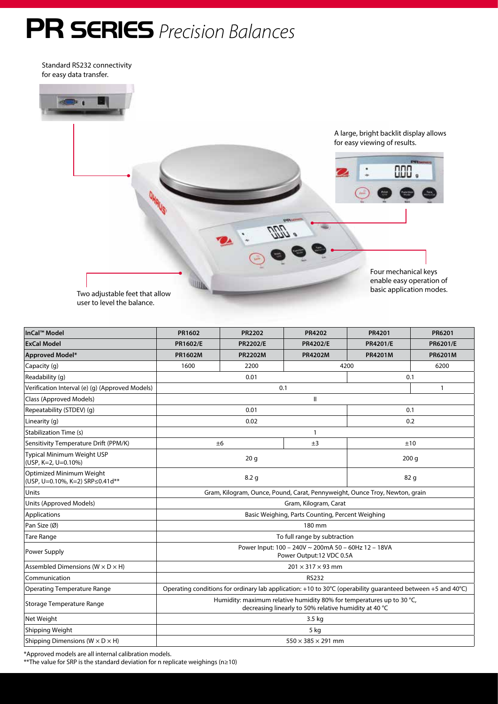# PR SERIES *Precision Balances*

Standard RS232 connectivity for easy data transfer.



| InCal™ Model                                                | PR1602                                                                                                                         | <b>PR2202</b>   | <b>PR4202</b>   | PR4201          | <b>PR6201</b>   |  |
|-------------------------------------------------------------|--------------------------------------------------------------------------------------------------------------------------------|-----------------|-----------------|-----------------|-----------------|--|
| <b>ExCal Model</b>                                          | PR1602/E                                                                                                                       | <b>PR2202/E</b> | <b>PR4202/E</b> | <b>PR4201/E</b> | <b>PR6201/E</b> |  |
| <b>Approved Model*</b>                                      | <b>PR1602M</b>                                                                                                                 | <b>PR2202M</b>  | <b>PR4202M</b>  | <b>PR4201M</b>  | <b>PR6201M</b>  |  |
| Capacity (g)                                                | 1600<br>2200                                                                                                                   |                 |                 | 4200            | 6200            |  |
| Readability (q)                                             | 0.01<br>0.1                                                                                                                    |                 |                 |                 |                 |  |
| Verification Interval (e) (g) (Approved Models)             | 0.1                                                                                                                            |                 |                 |                 | $\mathbf{1}$    |  |
| Class (Approved Models)                                     | Ш                                                                                                                              |                 |                 |                 |                 |  |
| Repeatability (STDEV) (q)                                   | 0.01                                                                                                                           |                 |                 | 0.1             |                 |  |
| Linearity (q)                                               | 0.02                                                                                                                           |                 |                 | 0.2             |                 |  |
| <b>Stabilization Time (s)</b>                               | $\mathbf{1}$                                                                                                                   |                 |                 |                 |                 |  |
| Sensitivity Temperature Drift (PPM/K)                       | ±3<br>±6                                                                                                                       |                 | ±10             |                 |                 |  |
| Typical Minimum Weight USP<br>(USP, K=2, U=0.10%)           | 20 <sub>g</sub>                                                                                                                |                 |                 | 200q            |                 |  |
| Optimized Minimum Weight<br>(USP, U=0.10%, K=2) SRP≤0.41d** | 8.2 <sub>g</sub>                                                                                                               |                 |                 | 82 g            |                 |  |
| Units                                                       | Gram, Kilogram, Ounce, Pound, Carat, Pennyweight, Ounce Troy, Newton, grain                                                    |                 |                 |                 |                 |  |
| Units (Approved Models)                                     | Gram, Kilogram, Carat                                                                                                          |                 |                 |                 |                 |  |
| Applications                                                | Basic Weighing, Parts Counting, Percent Weighing                                                                               |                 |                 |                 |                 |  |
| Pan Size (Ø)                                                | 180 mm                                                                                                                         |                 |                 |                 |                 |  |
| <b>Tare Range</b>                                           | To full range by subtraction                                                                                                   |                 |                 |                 |                 |  |
| Power Supply                                                | Power Input: 100 - 240V ~ 200mA 50 - 60Hz 12 - 18VA<br>Power Output:12 VDC 0.5A                                                |                 |                 |                 |                 |  |
| Assembled Dimensions ( $W \times D \times H$ )              | $201 \times 317 \times 93$ mm                                                                                                  |                 |                 |                 |                 |  |
| Communication                                               | <b>RS232</b>                                                                                                                   |                 |                 |                 |                 |  |
| <b>Operating Temperature Range</b>                          | Operating conditions for ordinary lab application: +10 to 30°C (operability quaranteed between +5 and 40°C)                    |                 |                 |                 |                 |  |
| Storage Temperature Range                                   | Humidity: maximum relative humidity 80% for temperatures up to 30 °C,<br>decreasing linearly to 50% relative humidity at 40 °C |                 |                 |                 |                 |  |
| Net Weight                                                  | 3.5 kg                                                                                                                         |                 |                 |                 |                 |  |
| Shipping Weight                                             | $5$ kg                                                                                                                         |                 |                 |                 |                 |  |
| Shipping Dimensions ( $W \times D \times H$ )               | $550 \times 385 \times 291$ mm                                                                                                 |                 |                 |                 |                 |  |

\*Approved models are all internal calibration models.

\*\*The value for SRP is the standard deviation for n replicate weighings (n≥10)